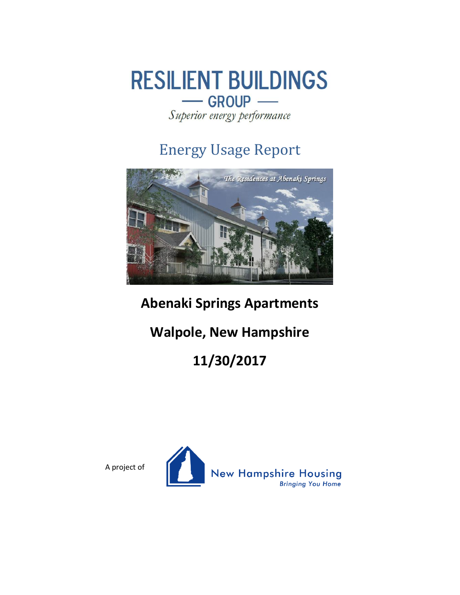

Superior energy performance

## Energy Usage Report



## **Abenaki Springs Apartments**

## **Walpole, New Hampshire**

# **11/30/2017**



A project of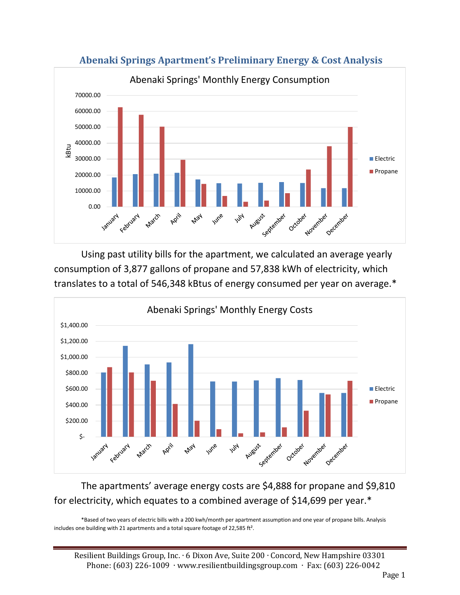

**Abenaki Springs Apartment's Preliminary Energy & Cost Analysis**

Using past utility bills for the apartment, we calculated an average yearly consumption of 3,877 gallons of propane and 57,838 kWh of electricity, which translates to a total of 546,348 kBtus of energy consumed per year on average.\*



#### The apartments' average energy costs are \$4,888 for propane and \$9,810 for electricity, which equates to a combined average of \$14,699 per year.\*

\*Based of two years of electric bills with a 200 kwh/month per apartment assumption and one year of propane bills. Analysis includes one building with 21 apartments and a total square footage of 22,585 ft².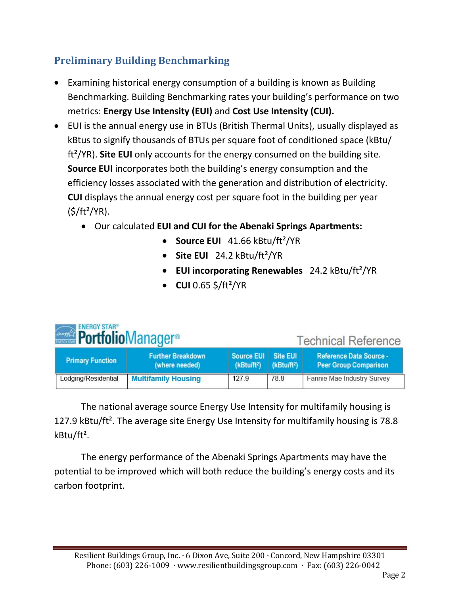### **Preliminary Building Benchmarking**

- Examining historical energy consumption of a building is known as Building Benchmarking. Building Benchmarking rates your building's performance on two metrics: **Energy Use Intensity (EUI)** and **Cost Use Intensity (CUI).**
- EUI is the annual energy use in BTUs (British Thermal Units), usually displayed as kBtus to signify thousands of BTUs per square foot of conditioned space (kBtu/ ft²/YR). **Site EUI** only accounts for the energy consumed on the building site. **Source EUI** incorporates both the building's energy consumption and the efficiency losses associated with the generation and distribution of electricity. **CUI** displays the annual energy cost per square foot in the building per year  $(S/ft^2/YR)$ .
	- Our calculated **EUI and CUI for the Abenaki Springs Apartments:**
		- **Source EUI** 41.66 kBtu/ft²/YR
		- **Site EUI** 24.2 kBtu/ft²/YR
		- **EUI incorporating Renewables** 24.2 kBtu/ft²/YR
		- **CUI** 0.65 \$/ft²/YR

| <b>ENERGY STAR®</b><br><b><i><b>Portfolio</b></i> Manager<sup>®</sup></b> |                         | <b>Technical Reference</b>                 |                                              |                                     |                                                                |
|---------------------------------------------------------------------------|-------------------------|--------------------------------------------|----------------------------------------------|-------------------------------------|----------------------------------------------------------------|
|                                                                           | <b>Primary Function</b> | <b>Further Breakdown</b><br>(where needed) | <b>Source EUI</b><br>(kBtu/ft <sup>2</sup> ) | Site EUI<br>(kBtu/ft <sup>2</sup> ) | <b>Reference Data Source -</b><br><b>Peer Group Comparison</b> |
|                                                                           | Lodging/Residential     | <b>Multifamily Housing</b>                 | 127.9                                        | 78.8                                | Fannie Mae Industry Survey                                     |

The national average source Energy Use Intensity for multifamily housing is 127.9 kBtu/ft². The average site Energy Use Intensity for multifamily housing is 78.8 kBtu/ft².

The energy performance of the Abenaki Springs Apartments may have the potential to be improved which will both reduce the building's energy costs and its carbon footprint.